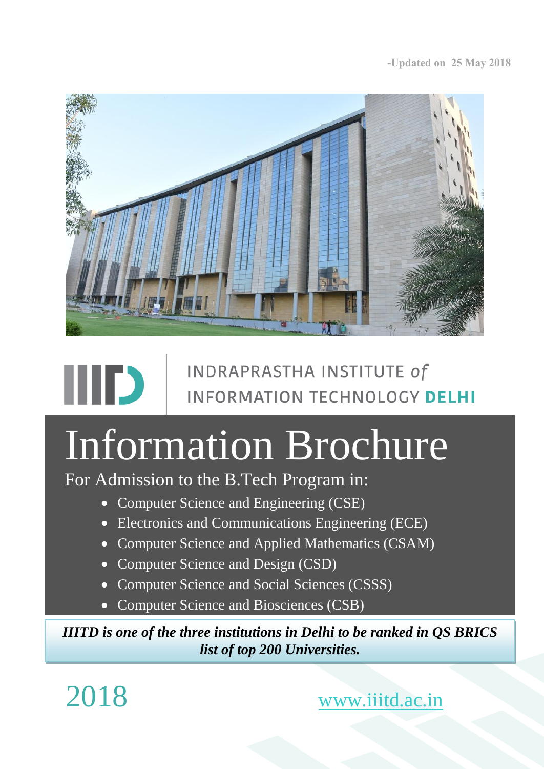

# INDRAPRASTHA INSTITUTE of **INFORMATION TECHNOLOGY DELHI**

# Information Brochure

For Admission to the B.Tech Program in:

- Computer Science and Engineering (CSE)
- **Electronics and Communications Engineering (ECE)**
- Computer Science and Applied Mathematics (CSAM)
- Computer Science and Design (CSD)
- Computer Science and Social Sciences (CSSS)
- Computer Science and Biosciences (CSB)

*IIITD is one of the three institutions in Delhi to be ranked in QS BRICS list of top 200 Universities.*

2018 [www.iiitd.ac.in](http://www.iiitd.ac.in/)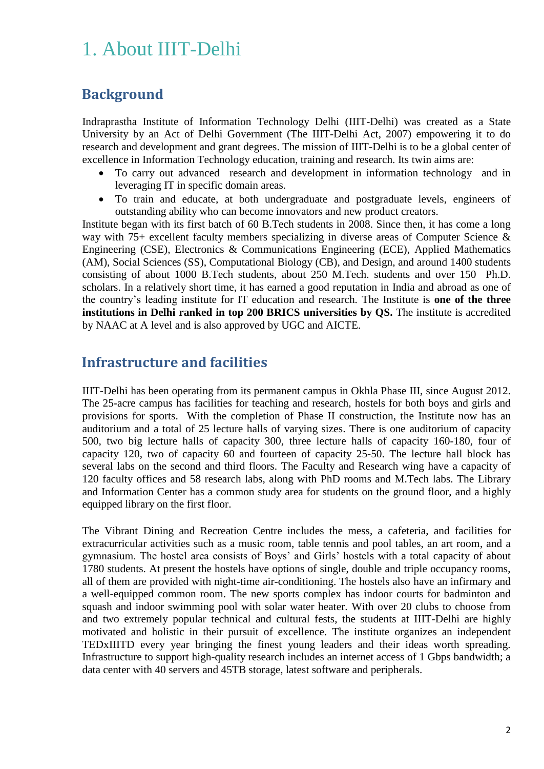# 1. About IIIT-Delhi

### **Background**

Indraprastha Institute of Information Technology Delhi (IIIT-Delhi) was created as a State University by an Act of Delhi Government (The IIIT-Delhi Act, 2007) empowering it to do research and development and grant degrees. The mission of IIIT-Delhi is to be a global center of excellence in Information Technology education, training and research. Its twin aims are:

- To carry out advanced research and development in information technology and in leveraging IT in specific domain areas.
- To train and educate, at both undergraduate and postgraduate levels, engineers of outstanding ability who can become innovators and new product creators.

Institute began with its first batch of 60 B.Tech students in 2008. Since then, it has come a long way with 75+ excellent faculty members specializing in diverse areas of Computer Science & Engineering (CSE), Electronics & Communications Engineering (ECE), Applied Mathematics (AM), Social Sciences (SS), Computational Biology (CB), and Design, and around 1400 students consisting of about 1000 B.Tech students, about 250 M.Tech. students and over 150 Ph.D. scholars. In a relatively short time, it has earned a good reputation in India and abroad as one of the country's leading institute for IT education and research. The Institute is **one of the three institutions in Delhi ranked in top 200 BRICS universities by QS.** The institute is accredited by NAAC at A level and is also approved by UGC and AICTE.

### **Infrastructure and facilities**

IIIT-Delhi has been operating from its permanent campus in Okhla Phase III, since August 2012. The 25-acre campus has facilities for teaching and research, hostels for both boys and girls and provisions for sports. With the completion of Phase II construction, the Institute now has an auditorium and a total of 25 lecture halls of varying sizes. There is one auditorium of capacity 500, two big lecture halls of capacity 300, three lecture halls of capacity 160-180, four of capacity 120, two of capacity 60 and fourteen of capacity 25-50. The lecture hall block has several labs on the second and third floors. The Faculty and Research wing have a capacity of 120 faculty offices and 58 research labs, along with PhD rooms and M.Tech labs. The Library and Information Center has a common study area for students on the ground floor, and a highly equipped library on the first floor.

The Vibrant Dining and Recreation Centre includes the mess, a cafeteria, and facilities for extracurricular activities such as a music room, table tennis and pool tables, an art room, and a gymnasium. The hostel area consists of Boys' and Girls' hostels with a total capacity of about 1780 students. At present the hostels have options of single, double and triple occupancy rooms, all of them are provided with night-time air-conditioning. The hostels also have an infirmary and a well-equipped common room. The new sports complex has indoor courts for badminton and squash and indoor swimming pool with solar water heater. With over 20 clubs to choose from and two extremely popular technical and cultural fests, the students at IIIT-Delhi are highly motivated and holistic in their pursuit of excellence. The institute organizes an independent TEDxIIITD every year bringing the finest young leaders and their ideas worth spreading. Infrastructure to support high-quality research includes an internet access of 1 Gbps bandwidth; a data center with 40 servers and 45TB storage, latest software and peripherals.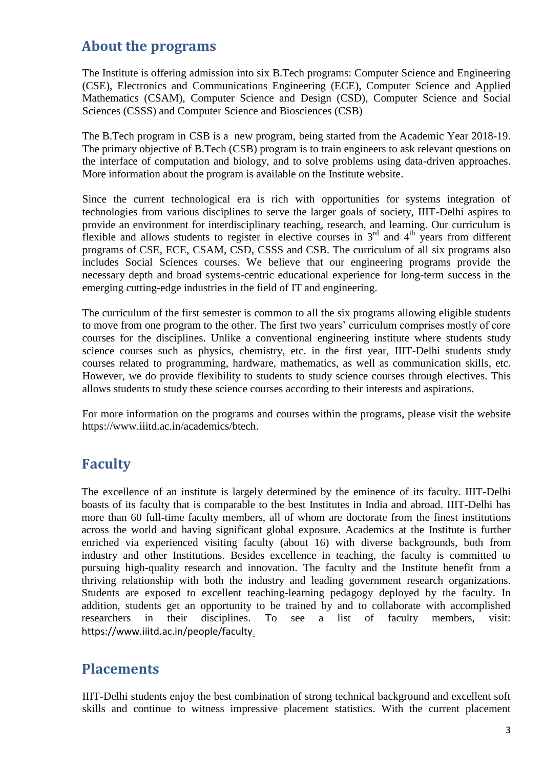## **About the programs**

The Institute is offering admission into six B.Tech programs: Computer Science and Engineering (CSE), Electronics and Communications Engineering (ECE), Computer Science and Applied Mathematics (CSAM), Computer Science and Design (CSD), Computer Science and Social Sciences (CSSS) and Computer Science and Biosciences (CSB)

The B.Tech program in CSB is a new program, being started from the Academic Year 2018-19. The primary objective of B.Tech (CSB) program is to train engineers to ask relevant questions on the interface of computation and biology, and to solve problems using data-driven approaches. More information about the program is available on the Institute website.

Since the current technological era is rich with opportunities for systems integration of technologies from various disciplines to serve the larger goals of society, IIIT-Delhi aspires to provide an environment for interdisciplinary teaching, research, and learning. Our curriculum is flexible and allows students to register in elective courses in  $3<sup>rd</sup>$  and  $4<sup>th</sup>$  years from different programs of CSE, ECE, CSAM, CSD, CSSS and CSB. The curriculum of all six programs also includes Social Sciences courses. We believe that our engineering programs provide the necessary depth and broad systems-centric educational experience for long-term success in the emerging cutting-edge industries in the field of IT and engineering.

The curriculum of the first semester is common to all the six programs allowing eligible students to move from one program to the other. The first two years' curriculum comprises mostly of core courses for the disciplines. Unlike a conventional engineering institute where students study science courses such as physics, chemistry, etc. in the first year, IIIT-Delhi students study courses related to programming, hardware, mathematics, as well as communication skills, etc. However, we do provide flexibility to students to study science courses through electives. This allows students to study these science courses according to their interests and aspirations.

For more information on the programs and courses within the programs, please visit the website https://www.iiitd.ac.in/academics/btech.

## **Faculty**

The excellence of an institute is largely determined by the eminence of its faculty. IIIT-Delhi boasts of its faculty that is comparable to the best Institutes in India and abroad. IIIT-Delhi has more than 60 full-time faculty members, all of whom are doctorate from the finest institutions across the world and having significant global exposure. Academics at the Institute is further enriched via experienced visiting faculty (about 16) with diverse backgrounds, both from industry and other Institutions. Besides excellence in teaching, the faculty is committed to pursuing high-quality research and innovation. The faculty and the Institute benefit from a thriving relationship with both the industry and leading government research organizations. Students are exposed to excellent teaching-learning pedagogy deployed by the faculty. In addition, students get an opportunity to be trained by and to collaborate with accomplished researchers in their disciplines. To see a list of faculty members, visit: https://www.iiitd.ac.in/people/faculty.

## **Placements**

IIIT-Delhi students enjoy the best combination of strong technical background and excellent soft skills and continue to witness impressive placement statistics. With the current placement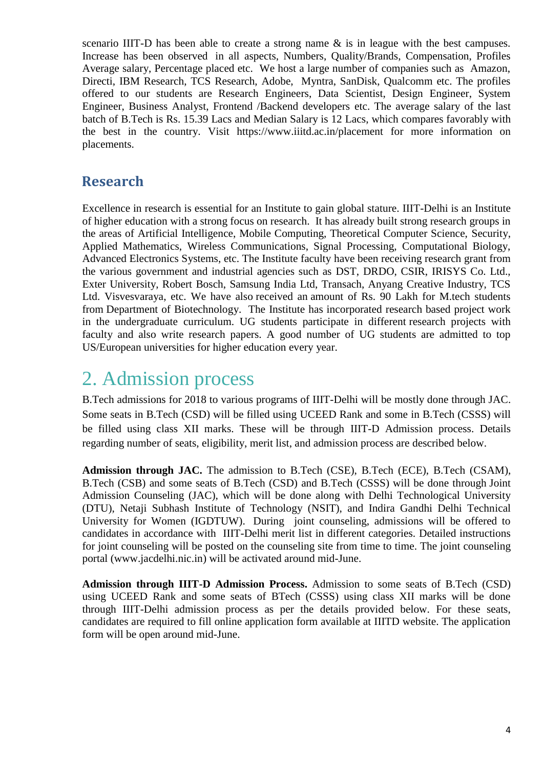scenario IIIT-D has been able to create a strong name & is in league with the best campuses. Increase has been observed in all aspects, Numbers, Quality/Brands, Compensation, Profiles Average salary, Percentage placed etc. We host a large number of companies such as Amazon, Directi, IBM Research, TCS Research, Adobe, Myntra, SanDisk, Qualcomm etc. The profiles offered to our students are Research Engineers, Data Scientist, Design Engineer, System Engineer, Business Analyst, Frontend /Backend developers etc. The average salary of the last batch of B.Tech is Rs. 15.39 Lacs and Median Salary is 12 Lacs, which compares favorably with the best in the country. Visit https://www.iiitd.ac.in/placement for more information on placements.

### **Research**

Excellence in research is essential for an Institute to gain global stature. IIIT-Delhi is an Institute of higher education with a strong focus on research. It has already built strong research groups in the areas of Artificial Intelligence, Mobile Computing, Theoretical Computer Science, Security, Applied Mathematics, Wireless Communications, Signal Processing, Computational Biology, Advanced Electronics Systems, etc. The Institute faculty have been receiving research grant from the various government and industrial agencies such as DST, DRDO, CSIR, IRISYS Co. Ltd., Exter University, Robert Bosch, Samsung India Ltd, Transach, Anyang Creative Industry, TCS Ltd. Visvesvaraya, etc. We have also received an amount of Rs. 90 Lakh for M.tech students from Department of Biotechnology. The Institute has incorporated research based project work in the undergraduate curriculum. UG students participate in different research projects with faculty and also write research papers. A good number of UG students are admitted to top US/European universities for higher education every year.

# 2. Admission process

B.Tech admissions for 2018 to various programs of IIIT-Delhi will be mostly done through JAC. Some seats in B.Tech (CSD) will be filled using UCEED Rank and some in B.Tech (CSSS) will be filled using class XII marks. These will be through IIIT-D Admission process. Details regarding number of seats, eligibility, merit list, and admission process are described below.

**Admission through JAC.** The admission to B.Tech (CSE), B.Tech (ECE), B.Tech (CSAM), B.Tech (CSB) and some seats of B.Tech (CSD) and B.Tech (CSSS) will be done through Joint Admission Counseling (JAC), which will be done along with Delhi Technological University (DTU), Netaji Subhash Institute of Technology (NSIT), and Indira Gandhi Delhi Technical University for Women (IGDTUW). During joint counseling, admissions will be offered to candidates in accordance with IIIT-Delhi merit list in different categories. Detailed instructions for joint counseling will be posted on the counseling site from time to time. The joint counseling portal (www[.jacdelhi.nic.in\)](http://jacdelhi.nic.in/) will be activated around mid-June.

**Admission through IIIT-D Admission Process.** Admission to some seats of B.Tech (CSD) using UCEED Rank and some seats of BTech (CSSS) using class XII marks will be done through IIIT-Delhi admission process as per the details provided below. For these seats, candidates are required to fill online application form available at IIITD website. The application form will be open around mid-June.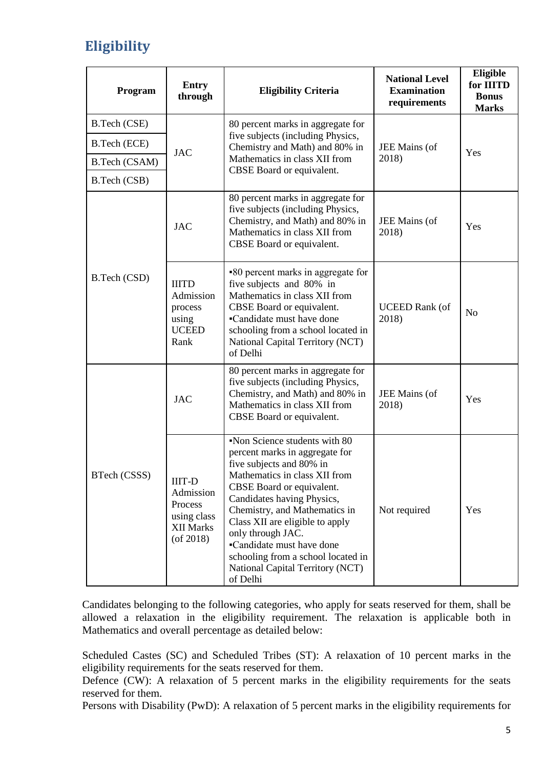# **Eligibility**

| Program       | <b>Entry</b><br>through                                                                     | <b>Eligibility Criteria</b>                                                                                                                                                                                                                                                                                                                                                                        | <b>National Level</b><br><b>Examination</b><br>requirements | Eligible<br>for <b>IIITD</b><br><b>Bonus</b><br><b>Marks</b> |  |
|---------------|---------------------------------------------------------------------------------------------|----------------------------------------------------------------------------------------------------------------------------------------------------------------------------------------------------------------------------------------------------------------------------------------------------------------------------------------------------------------------------------------------------|-------------------------------------------------------------|--------------------------------------------------------------|--|
| B.Tech (CSE)  |                                                                                             | 80 percent marks in aggregate for                                                                                                                                                                                                                                                                                                                                                                  |                                                             |                                                              |  |
| B.Tech (ECE)  | <b>JAC</b>                                                                                  | five subjects (including Physics,<br>Chemistry and Math) and 80% in                                                                                                                                                                                                                                                                                                                                | JEE Mains (of<br>2018)                                      | Yes                                                          |  |
| B.Tech (CSAM) |                                                                                             | Mathematics in class XII from<br>CBSE Board or equivalent.                                                                                                                                                                                                                                                                                                                                         |                                                             |                                                              |  |
| B.Tech (CSB)  |                                                                                             |                                                                                                                                                                                                                                                                                                                                                                                                    |                                                             |                                                              |  |
|               | <b>JAC</b>                                                                                  | 80 percent marks in aggregate for<br>five subjects (including Physics,<br>Chemistry, and Math) and 80% in<br>Mathematics in class XII from<br>CBSE Board or equivalent.                                                                                                                                                                                                                            | JEE Mains (of<br>2018)                                      | Yes                                                          |  |
| B.Tech (CSD)  | <b>IIITD</b><br>Admission<br>process<br>using<br><b>UCEED</b><br>Rank                       | •80 percent marks in aggregate for<br>five subjects and 80% in<br>Mathematics in class XII from<br>CBSE Board or equivalent.<br>•Candidate must have done<br>schooling from a school located in<br>National Capital Territory (NCT)<br>of Delhi                                                                                                                                                    | <b>UCEED Rank</b> (of<br>2018)                              | N <sub>o</sub>                                               |  |
|               | <b>JAC</b>                                                                                  | 80 percent marks in aggregate for<br>five subjects (including Physics,<br>Chemistry, and Math) and 80% in<br>Mathematics in class XII from<br>CBSE Board or equivalent.                                                                                                                                                                                                                            | JEE Mains (of<br>2018)                                      | Yes                                                          |  |
| BTech (CSSS)  | <b>IIIT-D</b><br>Admission<br>Process<br>using class<br><b>XII Marks</b><br>$($ of 2018 $)$ | Non Science students with 80<br>percent marks in aggregate for<br>five subjects and 80% in<br>Mathematics in class XII from<br>CBSE Board or equivalent.<br>Candidates having Physics,<br>Chemistry, and Mathematics in<br>Class XII are eligible to apply<br>only through JAC.<br>•Candidate must have done<br>schooling from a school located in<br>National Capital Territory (NCT)<br>of Delhi | Not required                                                | Yes                                                          |  |

Candidates belonging to the following categories, who apply for seats reserved for them, shall be allowed a relaxation in the eligibility requirement. The relaxation is applicable both in Mathematics and overall percentage as detailed below:

Scheduled Castes (SC) and Scheduled Tribes (ST): A relaxation of 10 percent marks in the eligibility requirements for the seats reserved for them.

Defence (CW): A relaxation of 5 percent marks in the eligibility requirements for the seats reserved for them.

Persons with Disability (PwD): A relaxation of 5 percent marks in the eligibility requirements for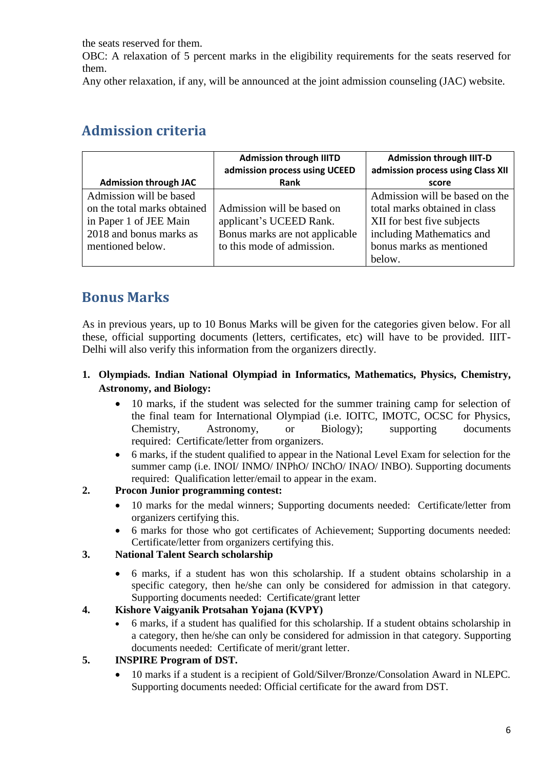the seats reserved for them.

OBC: A relaxation of 5 percent marks in the eligibility requirements for the seats reserved for them.

Any other relaxation, if any, will be announced at the joint admission counseling (JAC) website.

# **Admission criteria**

|                                                                                                                                 | <b>Admission through IIITD</b><br>admission process using UCEED                                                       | <b>Admission through IIIT-D</b><br>admission process using Class XII                                                                                             |  |  |  |
|---------------------------------------------------------------------------------------------------------------------------------|-----------------------------------------------------------------------------------------------------------------------|------------------------------------------------------------------------------------------------------------------------------------------------------------------|--|--|--|
| <b>Admission through JAC</b>                                                                                                    | Rank                                                                                                                  | score                                                                                                                                                            |  |  |  |
| Admission will be based<br>on the total marks obtained<br>in Paper 1 of JEE Main<br>2018 and bonus marks as<br>mentioned below. | Admission will be based on<br>applicant's UCEED Rank.<br>Bonus marks are not applicable<br>to this mode of admission. | Admission will be based on the<br>total marks obtained in class<br>XII for best five subjects<br>including Mathematics and<br>bonus marks as mentioned<br>below. |  |  |  |

# **Bonus Marks**

As in previous years, up to 10 Bonus Marks will be given for the categories given below. For all these, official supporting documents (letters, certificates, etc) will have to be provided. IIIT-Delhi will also verify this information from the organizers directly.

#### **1. Olympiads. Indian National Olympiad in Informatics, Mathematics, Physics, Chemistry, Astronomy, and Biology:**

- 10 marks, if the student was selected for the summer training camp for selection of the final team for International Olympiad (i.e. IOITC, IMOTC, OCSC for Physics, Chemistry, Astronomy, or Biology); supporting documents required: Certificate/letter from organizers.
- 6 marks, if the student qualified to appear in the National Level Exam for selection for the summer camp (i.e. INOI/ INMO/ INPhO/ INChO/ INAO/ INBO). Supporting documents required: Qualification letter/email to appear in the exam.

#### **2. Procon Junior programming contest:**

- 10 marks for the medal winners; Supporting documents needed: Certificate/letter from organizers certifying this.
- 6 marks for those who got certificates of Achievement; Supporting documents needed: Certificate/letter from organizers certifying this.

#### **3. National Talent Search scholarship**

 6 marks, if a student has won this scholarship. If a student obtains scholarship in a specific category, then he/she can only be considered for admission in that category. Supporting documents needed: Certificate/grant letter

#### **4. Kishore Vaigyanik Protsahan Yojana (KVPY)**

 6 marks, if a student has qualified for this scholarship. If a student obtains scholarship in a category, then he/she can only be considered for admission in that category. Supporting documents needed: Certificate of merit/grant letter.

#### **5. INSPIRE Program of DST.**

 10 marks if a student is a recipient of Gold/Silver/Bronze/Consolation Award in NLEPC. Supporting documents needed: Official certificate for the award from DST.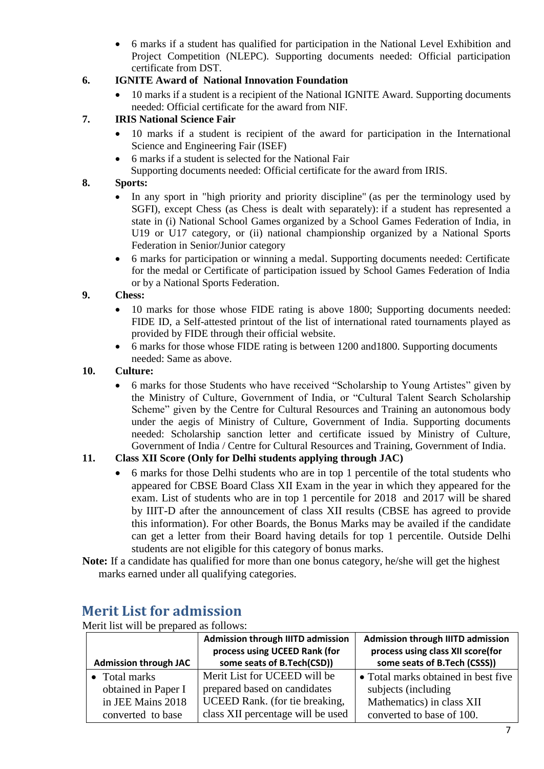6 marks if a student has qualified for participation in the National Level Exhibition and Project Competition (NLEPC). Supporting documents needed: Official participation certificate from DST.

#### **6. IGNITE Award of National Innovation Foundation**

 10 marks if a student is a recipient of the National IGNITE Award. Supporting documents needed: Official certificate for the award from NIF.

#### **7. IRIS National Science Fair**

- 10 marks if a student is recipient of the award for participation in the International Science and Engineering Fair (ISEF)
- 6 marks if a student is selected for the National Fair
- Supporting documents needed: Official certificate for the award from IRIS.

#### **8. Sports:**

- In any sport in "high priority and priority discipline" (as per the terminology used by SGFI), except Chess (as Chess is dealt with separately): if a student has represented a state in (i) National School Games organized by a School Games Federation of India, in U19 or U17 category, or (ii) national championship organized by a National Sports Federation in Senior/Junior category
- 6 marks for participation or winning a medal. Supporting documents needed: Certificate for the medal or Certificate of participation issued by School Games Federation of India or by a National Sports Federation.

#### **9. Chess:**

- 10 marks for those whose FIDE rating is above 1800; Supporting documents needed: FIDE ID, a Self-attested printout of the list of international rated tournaments played as provided by FIDE through their official website.
- 6 marks for those whose FIDE rating is between 1200 and1800. Supporting documents needed: Same as above.

#### **10. Culture:**

 6 marks for those Students who have received "Scholarship to Young Artistes" given by the Ministry of Culture, Government of India, or "Cultural Talent Search Scholarship Scheme" given by the Centre for Cultural Resources and Training an autonomous body under the aegis of Ministry of Culture, Government of India. Supporting documents needed: Scholarship sanction letter and certificate issued by Ministry of Culture, Government of India / Centre for Cultural Resources and Training, Government of India.

#### **11. Class XII Score (Only for Delhi students applying through JAC)**

- 6 marks for those Delhi students who are in top 1 percentile of the total students who appeared for CBSE Board Class XII Exam in the year in which they appeared for the exam. List of students who are in top 1 percentile for 2018 and 2017 will be shared by IIIT-D after the announcement of class XII results (CBSE has agreed to provide this information). For other Boards, the Bonus Marks may be availed if the candidate can get a letter from their Board having details for top 1 percentile. Outside Delhi students are not eligible for this category of bonus marks.
- **Note:** If a candidate has qualified for more than one bonus category, he/she will get the highest marks earned under all qualifying categories.

|                              | <b>Admission through IIITD admission</b> | Admission through IIITD admission   |  |  |  |
|------------------------------|------------------------------------------|-------------------------------------|--|--|--|
|                              | process using UCEED Rank (for            | process using class XII score(for   |  |  |  |
| <b>Admission through JAC</b> | some seats of B.Tech(CSD))               | some seats of B.Tech (CSSS))        |  |  |  |
| • Total marks                | Merit List for UCEED will be             | • Total marks obtained in best five |  |  |  |
| obtained in Paper I          | prepared based on candidates             | subjects (including                 |  |  |  |
| in JEE Mains 2018            | UCEED Rank. (for tie breaking,           | Mathematics) in class XII           |  |  |  |
| converted to base            | class XII percentage will be used        | converted to base of 100.           |  |  |  |

### **Merit List for admission**

Merit list will be prepared as follows: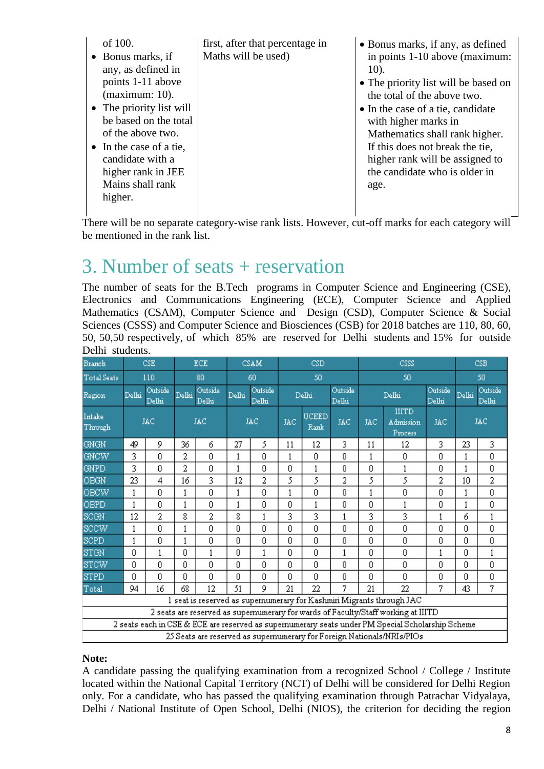| of $100$ .<br>• Bonus marks, if<br>any, as defined in<br>points 1-11 above<br>$(maximum: 10)$ .<br>• The priority list will<br>be based on the total<br>of the above two.<br>$\bullet$ In the case of a tie,<br>candidate with a<br>higher rank in JEE<br>Mains shall rank<br>higher. | first, after that percentage in<br>Maths will be used) | • Bonus marks, if any, as defined<br>in points 1-10 above (maximum:<br>$10$ ).<br>• The priority list will be based on<br>the total of the above two.<br>• In the case of a tie, candidate<br>with higher marks in<br>Mathematics shall rank higher.<br>If this does not break the tie,<br>higher rank will be assigned to<br>the candidate who is older in<br>age. |
|---------------------------------------------------------------------------------------------------------------------------------------------------------------------------------------------------------------------------------------------------------------------------------------|--------------------------------------------------------|---------------------------------------------------------------------------------------------------------------------------------------------------------------------------------------------------------------------------------------------------------------------------------------------------------------------------------------------------------------------|
|                                                                                                                                                                                                                                                                                       |                                                        |                                                                                                                                                                                                                                                                                                                                                                     |

 $\overline{\phantom{a}}$ There will be no separate category-wise rank lists. However, cut-off marks for each category will be mentioned in the rank list.

# 3. Number of seats + reservation

The number of seats for the B.Tech programs in Computer Science and Engineering (CSE), Electronics and Communications Engineering (ECE), Computer Science and Applied Mathematics (CSAM), Computer Science and Design (CSD), Computer Science & Social Sciences (CSSS) and Computer Science and Biosciences (CSB) for 2018 batches are 110, 80, 60, 50, 50,50 respectively, of which 85% are reserved for Delhi students and 15% for outside Delhi students.

| Branch                                                                                            |       | <b>CSE</b>       |       | <b>ECE</b>       |       | CSAM             |              | CSD                  |                  | CSSS                      |                                      | CSB        |                                                                 |     |
|---------------------------------------------------------------------------------------------------|-------|------------------|-------|------------------|-------|------------------|--------------|----------------------|------------------|---------------------------|--------------------------------------|------------|-----------------------------------------------------------------|-----|
| <b>Total Seats</b>                                                                                |       | 110              |       | 80               |       | 60               |              | 50                   |                  | 50                        |                                      | 50         |                                                                 |     |
| Region                                                                                            | Delhi | Outside<br>Delhi | Delhi | Outside<br>Delhi | Delhi | Outside<br>Delhi |              | Delhi                | Outside<br>Delhi | Outside<br>Delhi<br>Delhi |                                      |            | Outside<br>Delhi<br>${\rm De} \mathrm{I} \mathrm{h} \mathrm{i}$ |     |
| Intake<br>Through                                                                                 |       | <b>JAC</b>       |       | <b>JAC</b>       |       | <b>JAC</b>       | <b>JAC</b>   | <b>UCEED</b><br>Rank | <b>JAC</b>       | <b>JAC</b>                | <b>IIITD</b><br>Admission<br>Process | <b>JAC</b> |                                                                 | JAC |
| <b>GNGN</b>                                                                                       | 49    | 9                | 36    | 6                | 27    | 5.               | 11           | 12                   | 3                | 11                        | 12                                   | 3          | 23                                                              | 3   |
| <b>GNCW</b>                                                                                       | 3     | 0                | 2     | 0                | 1     | 0                | $\,1$        | 0                    | 0                | 1                         | 0                                    | ſ.         | 1                                                               | 0   |
| GNPD                                                                                              | 3     | 0.               | 2     | 0                | 1     | 0                | 0            | 1                    | 0                | 0                         | 1                                    | n          | 1                                                               | 0   |
| OBGN                                                                                              | 23    | 4                | 16    | 3                | 12    | 2                | 5            | 5                    | 2                | 5.                        | 5                                    | 2          | 10                                                              | 2   |
| <b>OBCW</b>                                                                                       | 1     | 0                | 1     | 0                | 1     | 0                | $\mathbf{1}$ | 0                    | 0                | 1                         | 0                                    | 0          | 1                                                               | 0   |
| OBPD                                                                                              | 1     | 0                | 1     | 0                | 1     | Ω                | 0            | 1                    | 0                | 0                         | 1                                    | 0          | 1                                                               | 0   |
| SCGN                                                                                              | 12    | 2                | 8     | 2                | 8     | 1                | 3            | 3                    | 1                | 3                         | 3                                    | 1          | б                                                               | 1   |
| <b>SCCW</b>                                                                                       | 1     | 0                | 1     | 0                | 0     | 0                | 0            | 0                    | 0                | 0                         | 0                                    | Ū          | 0                                                               | 0   |
| SCPD                                                                                              | 1     | 0                | 1     | 0                | 0     | 0                | 0            | 0                    | 0                | 0                         | 0                                    | Ū          | Ū                                                               | 0   |
| STGN                                                                                              | 0     | 1                | Ω     | 1                | 0     | 1                | 0            | 0                    | 1                | 0                         | 0                                    | 1          | 0                                                               | 1   |
| <b>STCW</b>                                                                                       | 0     | Ū.               | Ū     | 0                | 0     | 0                | 0            | 0                    | 0.               | 0                         | 0                                    | 0          | 0                                                               | 0   |
| <b>STPD</b>                                                                                       | Ū.    | Ω                | Ū.    | 0                | Ū     | Ū.               | 0            | Ū.                   | 0                | Ū.                        | Ū.                                   | Ū.         | Ū                                                               | 0   |
| Total                                                                                             | 94    | 16               | 68    | 12               | 51    | g.               | 21           | 22                   | 7                | 21                        | 22                                   | 7          | 43                                                              | 7   |
| 1 seat is reserved as supernumerary for Kashmiri Migrants through JAC                             |       |                  |       |                  |       |                  |              |                      |                  |                           |                                      |            |                                                                 |     |
| 2 seats are reserved as supernumerary for wards of Faculty/Staff working at IIITD                 |       |                  |       |                  |       |                  |              |                      |                  |                           |                                      |            |                                                                 |     |
| 2 seats each in CSE & ECE are reserved as supernumerary seats under PM Special Scholarship Scheme |       |                  |       |                  |       |                  |              |                      |                  |                           |                                      |            |                                                                 |     |
| 25 Seats are reserved as supernumerary for Foreign Nationals/NRIs/PIOs                            |       |                  |       |                  |       |                  |              |                      |                  |                           |                                      |            |                                                                 |     |

#### **Note:**

A candidate passing the qualifying examination from a recognized School / College / Institute located within the National Capital Territory (NCT) of Delhi will be considered for Delhi Region only. For a candidate, who has passed the qualifying examination through Patrachar Vidyalaya, Delhi / National Institute of Open School, Delhi (NIOS), the criterion for deciding the region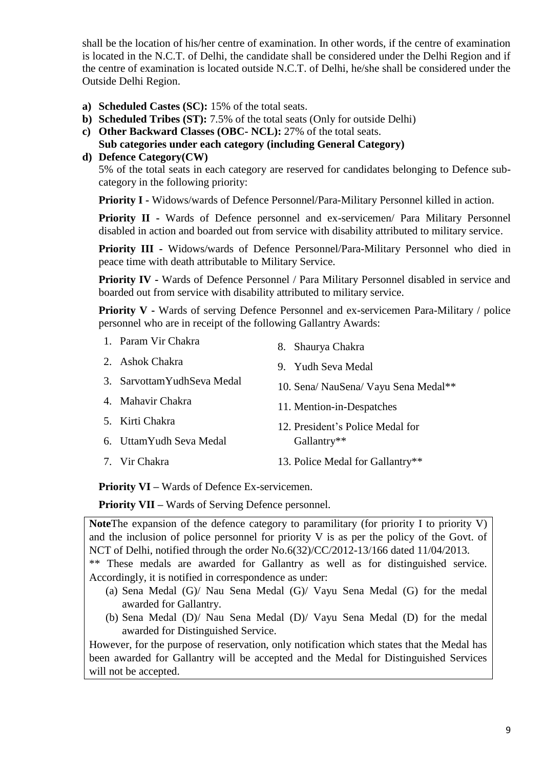shall be the location of his/her centre of examination. In other words, if the centre of examination is located in the N.C.T. of Delhi, the candidate shall be considered under the Delhi Region and if the centre of examination is located outside N.C.T. of Delhi, he/she shall be considered under the Outside Delhi Region.

- **a) Scheduled Castes (SC):** 15% of the total seats.
- **b) Scheduled Tribes (ST):** 7.5% of the total seats (Only for outside Delhi)
- **c) Other Backward Classes (OBC- NCL):** 27% of the total seats.
- **Sub categories under each category (including General Category)**
- **d) Defence Category(CW)**

5% of the total seats in each category are reserved for candidates belonging to Defence subcategory in the following priority:

**Priority I -** Widows/wards of Defence Personnel/Para-Military Personnel killed in action.

**Priority II -** Wards of Defence personnel and ex-servicemen/ Para Military Personnel disabled in action and boarded out from service with disability attributed to military service.

**Priority III -** Widows/wards of Defence Personnel/Para-Military Personnel who died in peace time with death attributable to Military Service.

**Priority IV -** Wards of Defence Personnel / Para Military Personnel disabled in service and boarded out from service with disability attributed to military service.

**Priority V -** Wards of serving Defence Personnel and ex-servicemen Para-Military / police personnel who are in receipt of the following Gallantry Awards:

1. Param Vir Chakra 2. Ashok Chakra 3. SarvottamYudhSeva Medal 4. Mahavir Chakra 5. Kirti Chakra 6. UttamYudh Seva Medal 7. Vir Chakra 8. Shaurya Chakra 9. Yudh Seva Medal 10. Sena/ NauSena/ Vayu Sena Medal\*\* 11. Mention-in-Despatches 12. President's Police Medal for Gallantry\*\* 13. Police Medal for Gallantry\*\*

**Priority VI –** Wards of Defence Ex-servicemen.

**Priority VII –** Wards of Serving Defence personnel.

**Note**The expansion of the defence category to paramilitary (for priority I to priority V) and the inclusion of police personnel for priority V is as per the policy of the Govt. of NCT of Delhi, notified through the order No.6(32)/CC/2012-13/166 dated 11/04/2013.

\*\* These medals are awarded for Gallantry as well as for distinguished service. Accordingly, it is notified in correspondence as under:

- (a) Sena Medal (G)/ Nau Sena Medal (G)/ Vayu Sena Medal (G) for the medal awarded for Gallantry.
- (b) Sena Medal (D)/ Nau Sena Medal (D)/ Vayu Sena Medal (D) for the medal awarded for Distinguished Service.

However, for the purpose of reservation, only notification which states that the Medal has been awarded for Gallantry will be accepted and the Medal for Distinguished Services will not be accepted.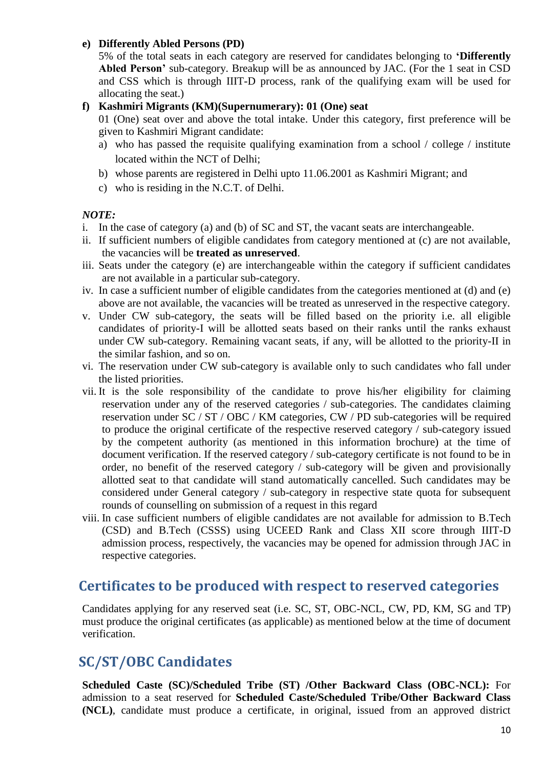#### **e) Differently Abled Persons (PD)**

5% of the total seats in each category are reserved for candidates belonging to **'Differently Abled Person'** sub-category. Breakup will be as announced by JAC. (For the 1 seat in CSD and CSS which is through IIIT-D process, rank of the qualifying exam will be used for allocating the seat.)

#### **f) Kashmiri Migrants (KM)(Supernumerary): 01 (One) seat**

01 (One) seat over and above the total intake. Under this category, first preference will be given to Kashmiri Migrant candidate:

- a) who has passed the requisite qualifying examination from a school / college / institute located within the NCT of Delhi;
- b) whose parents are registered in Delhi upto 11.06.2001 as Kashmiri Migrant; and
- c) who is residing in the N.C.T. of Delhi.

#### *NOTE:*

- i. In the case of category (a) and (b) of SC and ST, the vacant seats are interchangeable.
- ii. If sufficient numbers of eligible candidates from category mentioned at (c) are not available, the vacancies will be **treated as unreserved**.
- iii. Seats under the category (e) are interchangeable within the category if sufficient candidates are not available in a particular sub-category.
- iv. In case a sufficient number of eligible candidates from the categories mentioned at (d) and (e) above are not available, the vacancies will be treated as unreserved in the respective category.
- v. Under CW sub-category, the seats will be filled based on the priority i.e. all eligible candidates of priority-I will be allotted seats based on their ranks until the ranks exhaust under CW sub-category. Remaining vacant seats, if any, will be allotted to the priority-II in the similar fashion, and so on.
- vi. The reservation under CW sub-category is available only to such candidates who fall under the listed priorities.
- vii. It is the sole responsibility of the candidate to prove his/her eligibility for claiming reservation under any of the reserved categories / sub-categories. The candidates claiming reservation under SC / ST / OBC / KM categories, CW / PD sub-categories will be required to produce the original certificate of the respective reserved category / sub-category issued by the competent authority (as mentioned in this information brochure) at the time of document verification. If the reserved category / sub-category certificate is not found to be in order, no benefit of the reserved category / sub-category will be given and provisionally allotted seat to that candidate will stand automatically cancelled. Such candidates may be considered under General category / sub-category in respective state quota for subsequent rounds of counselling on submission of a request in this regard
- viii. In case sufficient numbers of eligible candidates are not available for admission to B.Tech (CSD) and B.Tech (CSSS) using UCEED Rank and Class XII score through IIIT-D admission process, respectively, the vacancies may be opened for admission through JAC in respective categories.

### **Certificates to be produced with respect to reserved categories**

Candidates applying for any reserved seat (i.e. SC, ST, OBC-NCL, CW, PD, KM, SG and TP) must produce the original certificates (as applicable) as mentioned below at the time of document verification.

### **SC/ST/OBC Candidates**

**Scheduled Caste (SC)/Scheduled Tribe (ST) /Other Backward Class (OBC-NCL):** For admission to a seat reserved for **Scheduled Caste/Scheduled Tribe/Other Backward Class (NCL)**, candidate must produce a certificate, in original, issued from an approved district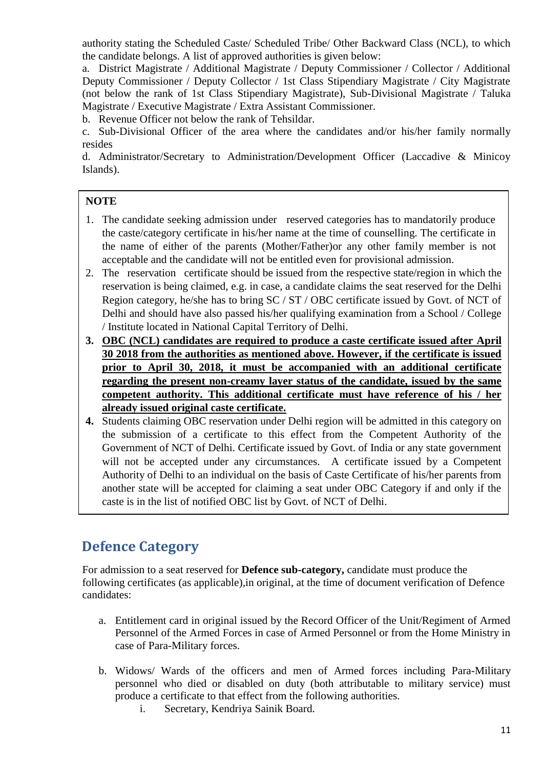authority stating the Scheduled Caste/ Scheduled Tribe/ Other Backward Class (NCL), to which the candidate belongs. A list of approved authorities is given below:

a. District Magistrate / Additional Magistrate / Deputy Commissioner / Collector / Additional Deputy Commissioner / Deputy Collector / 1st Class Stipendiary Magistrate / City Magistrate (not below the rank of 1st Class Stipendiary Magistrate), Sub-Divisional Magistrate / Taluka Magistrate / Executive Magistrate / Extra Assistant Commissioner.

b. Revenue Officer not below the rank of Tehsildar.

c. Sub-Divisional Officer of the area where the candidates and/or his/her family normally resides

d. Administrator/Secretary to Administration/Development Officer (Laccadive & Minicoy Islands).

#### **NOTE**

- 1. The candidate seeking admission under reserved categories has to mandatorily produce the caste/category certificate in his/her name at the time of counselling. The certificate in the name of either of the parents (Mother/Father)or any other family member is not acceptable and the candidate will not be entitled even for provisional admission.
- 2. The reservation certificate should be issued from the respective state/region in which the reservation is being claimed, e.g. in case, a candidate claims the seat reserved for the Delhi Region category, he/she has to bring SC / ST / OBC certificate issued by Govt. of NCT of Delhi and should have also passed his/her qualifying examination from a School / College / Institute located in National Capital Territory of Delhi.
- **3. OBC (NCL) candidates are required to produce a caste certificate issued after April 30 2018 from the authorities as mentioned above. However, if the certificate is issued prior to April 30, 2018, it must be accompanied with an additional certificate regarding the present non-creamy layer status of the candidate, issued by the same competent authority. This additional certificate must have reference of his / her already issued original caste certificate.**
- **4.** Students claiming OBC reservation under Delhi region will be admitted in this category on the submission of a certificate to this effect from the Competent Authority of the Government of NCT of Delhi. Certificate issued by Govt. of India or any state government will not be accepted under any circumstances. A certificate issued by a Competent Authority of Delhi to an individual on the basis of Caste Certificate of his/her parents from another state will be accepted for claiming a seat under OBC Category if and only if the caste is in the list of notified OBC list by Govt. of NCT of Delhi.

### **Defence Category**

 For admission to a seat reserved for **Defence sub-category,** candidate must produce the following certificates (as applicable),in original, at the time of document verification of Defence candidates:

- a. Entitlement card in original issued by the Record Officer of the Unit/Regiment of Armed Personnel of the Armed Forces in case of Armed Personnel or from the Home Ministry in case of Para-Military forces.
- b. Widows/ Wards of the officers and men of Armed forces including Para-Military personnel who died or disabled on duty (both attributable to military service) must produce a certificate to that effect from the following authorities.
	- i. Secretary, Kendriya Sainik Board.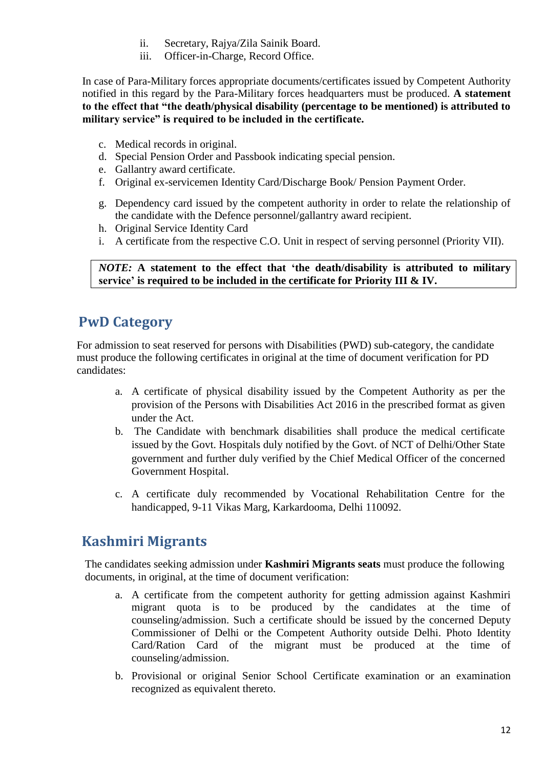- ii. Secretary, Rajya/Zila Sainik Board.
- iii. Officer-in-Charge, Record Office.

In case of Para-Military forces appropriate documents/certificates issued by Competent Authority notified in this regard by the Para-Military forces headquarters must be produced. **A statement to the effect that "the death/physical disability (percentage to be mentioned) is attributed to military service" is required to be included in the certificate.**

- c. Medical records in original.
- d. Special Pension Order and Passbook indicating special pension.
- e. Gallantry award certificate.
- f. Original ex-servicemen Identity Card/Discharge Book/ Pension Payment Order.
- g. Dependency card issued by the competent authority in order to relate the relationship of the candidate with the Defence personnel/gallantry award recipient.
- h. Original Service Identity Card
- i. A certificate from the respective C.O. Unit in respect of serving personnel (Priority VII).

*NOTE:* **A statement to the effect that 'the death/disability is attributed to military service' is required to be included in the certificate for Priority III & IV.**

# **PwD Category**

 For admission to seat reserved for persons with Disabilities (PWD) sub-category, the candidate must produce the following certificates in original at the time of document verification for PD candidates:

- a. A certificate of physical disability issued by the Competent Authority as per the provision of the Persons with Disabilities Act 2016 in the prescribed format as given under the Act.
- b. The Candidate with benchmark disabilities shall produce the medical certificate issued by the Govt. Hospitals duly notified by the Govt. of NCT of Delhi/Other State government and further duly verified by the Chief Medical Officer of the concerned Government Hospital.
- c. A certificate duly recommended by Vocational Rehabilitation Centre for the handicapped, 9-11 Vikas Marg, Karkardooma, Delhi 110092.

# **Kashmiri Migrants**

 The candidates seeking admission under **Kashmiri Migrants seats** must produce the following documents, in original, at the time of document verification:

- a. A certificate from the competent authority for getting admission against Kashmiri migrant quota is to be produced by the candidates at the time of counseling/admission. Such a certificate should be issued by the concerned Deputy Commissioner of Delhi or the Competent Authority outside Delhi. Photo Identity Card/Ration Card of the migrant must be produced at the time of counseling/admission.
- b. Provisional or original Senior School Certificate examination or an examination recognized as equivalent thereto.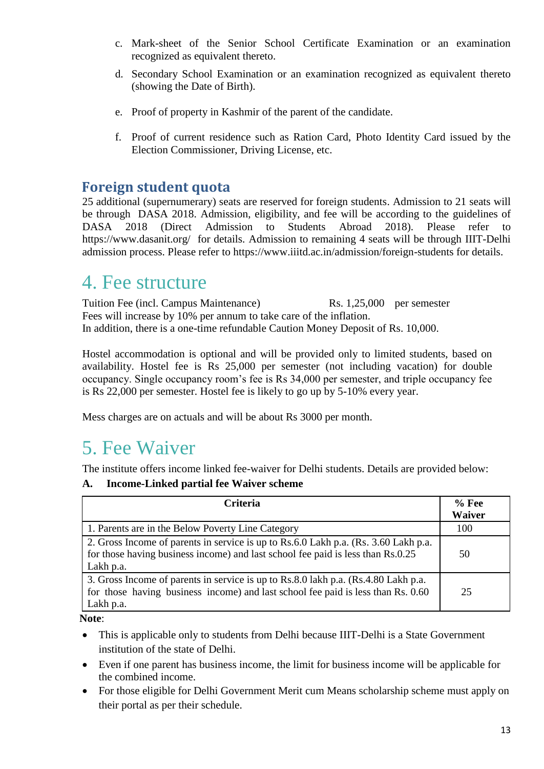- c. Mark-sheet of the Senior School Certificate Examination or an examination recognized as equivalent thereto.
- d. Secondary School Examination or an examination recognized as equivalent thereto (showing the Date of Birth).
- e. Proof of property in Kashmir of the parent of the candidate.
- f. Proof of current residence such as Ration Card, Photo Identity Card issued by the Election Commissioner, Driving License, etc.

### **Foreign student quota**

25 additional (supernumerary) seats are reserved for foreign students. Admission to 21 seats will be through DASA 2018. Admission, eligibility, and fee will be according to the guidelines of DASA 2018 (Direct Admission to Students Abroad 2018). Please refer to <https://www.dasanit.org/>for details. Admission to remaining 4 seats will be through IIIT-Delhi admission process. Please refer to https://www.iiitd.ac.in/admission/foreign-students for details.

# 4. Fee structure

Tuition Fee (incl. Campus Maintenance) Rs. 1,25,000 per semester Fees will increase by 10% per annum to take care of the inflation. In addition, there is a one-time refundable Caution Money Deposit of Rs. 10,000.

Hostel accommodation is optional and will be provided only to limited students, based on availability. Hostel fee is Rs 25,000 per semester (not including vacation) for double occupancy. Single occupancy room's fee is Rs 34,000 per semester, and triple occupancy fee is Rs 22,000 per semester. Hostel fee is likely to go up by 5-10% every year.

Mess charges are on actuals and will be about Rs 3000 per month.

# 5. Fee Waiver

The institute offers income linked fee-waiver for Delhi students. Details are provided below:

#### **A. Income-Linked partial fee Waiver scheme**

| <b>Criteria</b>                                                                                                                                                                     | $%$ Fee<br><b>Waiver</b> |
|-------------------------------------------------------------------------------------------------------------------------------------------------------------------------------------|--------------------------|
| 1. Parents are in the Below Poverty Line Category                                                                                                                                   | 100                      |
| 2. Gross Income of parents in service is up to Rs.6.0 Lakh p.a. (Rs. 3.60 Lakh p.a.<br>for those having business income) and last school fee paid is less than Rs.0.25<br>Lakh p.a. | 50                       |
| 3. Gross Income of parents in service is up to Rs.8.0 lakh p.a. (Rs.4.80 Lakh p.a.<br>for those having business income) and last school fee paid is less than Rs. 0.60<br>Lakh p.a. | 25                       |

 **Note**:

- This is applicable only to students from Delhi because IIIT-Delhi is a State Government institution of the state of Delhi.
- Even if one parent has business income, the limit for business income will be applicable for the combined income.
- For those eligible for Delhi Government Merit cum Means scholarship scheme must apply on their portal as per their schedule.